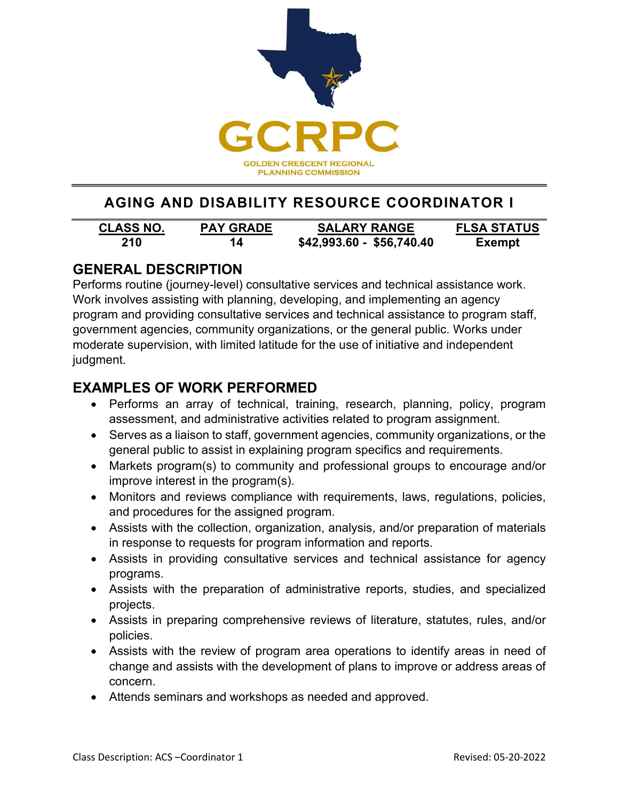

# **AGING AND DISABILITY RESOURCE COORDINATOR I**

| <b>CLASS NO.</b> | <b>PAY GRADE</b> | <b>SALARY RANGE</b>       | <b>FLSA STATUS</b> |
|------------------|------------------|---------------------------|--------------------|
| 210              | 14               | \$42,993.60 - \$56,740.40 | <b>Exempt</b>      |

## **GENERAL DESCRIPTION**

Performs routine (journey-level) consultative services and technical assistance work. Work involves assisting with planning, developing, and implementing an agency program and providing consultative services and technical assistance to program staff, government agencies, community organizations, or the general public. Works under moderate supervision, with limited latitude for the use of initiative and independent judgment.

## **EXAMPLES OF WORK PERFORMED**

- Performs an array of technical, training, research, planning, policy, program assessment, and administrative activities related to program assignment.
- Serves as a liaison to staff, government agencies, community organizations, or the general public to assist in explaining program specifics and requirements.
- Markets program(s) to community and professional groups to encourage and/or improve interest in the program(s).
- Monitors and reviews compliance with requirements, laws, regulations, policies, and procedures for the assigned program.
- Assists with the collection, organization, analysis, and/or preparation of materials in response to requests for program information and reports.
- Assists in providing consultative services and technical assistance for agency programs.
- Assists with the preparation of administrative reports, studies, and specialized projects.
- Assists in preparing comprehensive reviews of literature, statutes, rules, and/or policies.
- Assists with the review of program area operations to identify areas in need of change and assists with the development of plans to improve or address areas of concern.
- Attends seminars and workshops as needed and approved.